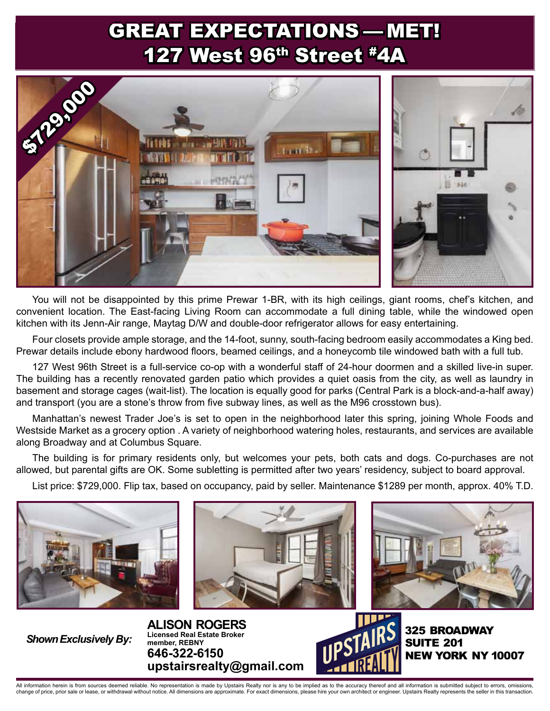## GREAT EXPECTATIONS — MET! 127 West 96th Street #4A



You will not be disappointed by this prime Prewar 1-BR, with its high ceilings, giant rooms, chef's kitchen, and convenient location. The East-facing Living Room can accommodate a full dining table, while the windowed open kitchen with its Jenn-Air range, Maytag D/W and double-door refrigerator allows for easy entertaining.

Four closets provide ample storage, and the 14-foot, sunny, south-facing bedroom easily accommodates a King bed. Prewar details include ebony hardwood floors, beamed ceilings, and a honeycomb tile windowed bath with a full tub.

127 West 96th Street is a full-service co-op with a wonderful staff of 24-hour doormen and a skilled live-in super. The building has a recently renovated garden patio which provides a quiet oasis from the city, as well as laundry in basement and storage cages (wait-list). The location is equally good for parks (Central Park is a block-and-a-half away) and transport (you are a stone's throw from five subway lines, as well as the M96 crosstown bus).

Manhattan's newest Trader Joe's is set to open in the neighborhood later this spring, joining Whole Foods and Westside Market as a grocery option . A variety of neighborhood watering holes, restaurants, and services are available along Broadway and at Columbus Square.

The building is for primary residents only, but welcomes your pets, both cats and dogs. Co-purchases are not allowed, but parental gifts are OK. Some subletting is permitted after two years' residency, subject to board approval.

List price: \$729,000. Flip tax, based on occupancy, paid by seller. Maintenance \$1289 per month, approx. 40% T.D.







*Shown Exclusively By:*

**ALISON ROGERS Licensed Real Estate Broker member, REBNY 646-322-6150 upstairsrealty@gmail.com**



325 Broadway **SUITE 201** NEW 10007